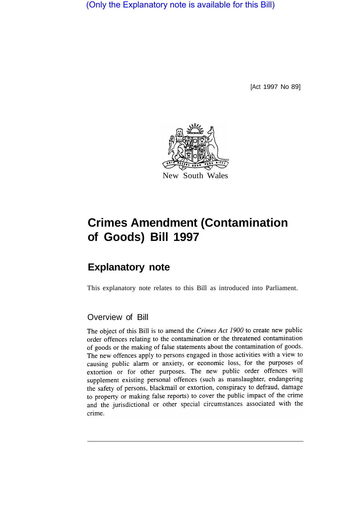(Only the Explanatory note is available for this Bill)

[Act 1997 No 89]



# **Crimes Amendment (Contamination of Goods) Bill 1997**

## **Explanatory note**

This explanatory note relates to this Bill as introduced into Parliament.

### Overview of Bill

The object of this Bill is to amend the Crimes Act 1900 to create new public order offences relating to the contamination or the threatened contamination of goods or the making of false statements about the contamination of goods. The new offences apply to persons engaged in those activities with a view to causing public alarm or anxiety, or economic loss, for the purposes of extortion or for other purposes. The new public order offences will supplement existing personal offences (such as manslaughter, endangering the safety of persons, blackmail or extortion, conspiracy to defraud, damage to property or making false reports) to cover the public impact of the crime and the jurisdictional or other special circumstances associated with the crime.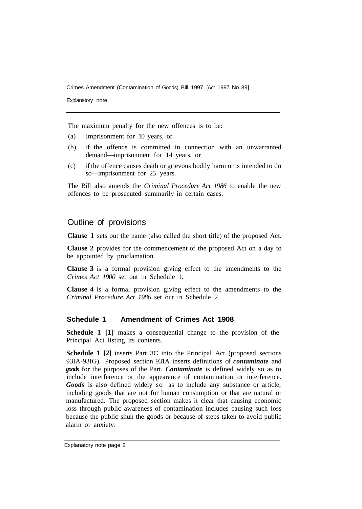Crimes Amendment (Contamination of Goods) Bill 1997 [Act 1997 No 89]

Explanatory note

The maximum penalty for the new offences is to be:

- (a) imprisonment for 10 years, or
- (b) if the offence is committed in connection with an unwarranted demand—imprisonment for 14 years, or
- (c) if the offence causes death or grievous bodily harm or is intended to do so—imprisonment for 25 years.

The Bill also amends the *Criminal Procedure Act 1986* to enable the new offences to be prosecuted summarily in certain cases.

#### Outline of provisions

**Clause 1** sets out the name (also called the short title) of the proposed Act.

**Clause 2** provides for the commencement of the proposed Act on a day to be appointed by proclamation.

**Clause 3** is a formal provision giving effect to the amendments to the *Crimes Act 1900* set out in Schedule 1.

**Clause 4** is a formal provision giving effect to the amendments to the *Criminal Procedure Act 1986* set out in Schedule 2.

#### **Schedule 1 Amendment of Crimes Act 1908**

**Schedule 1 [1]** makes a consequential change to the provision of the Principal Act listing its contents.

**Schedule 1 [2]** inserts Part 3C into the Principal Act (proposed sections 93IA-93IG). Proposed section 931A inserts definitions of *contaminate* and *goods* for the purposes of the Part. *Contaminate* is defined widely so as to include interference or the appearance of contamination or interference. *Goods* is also defined widely so as to include any substance or article, including goods that are not for human consumption or that are natural or manufactured. The proposed section makes it clear that causing economic loss through public awareness of contamination includes causing such loss because the public shun the goods or because of steps taken to avoid public alarm or anxiety.